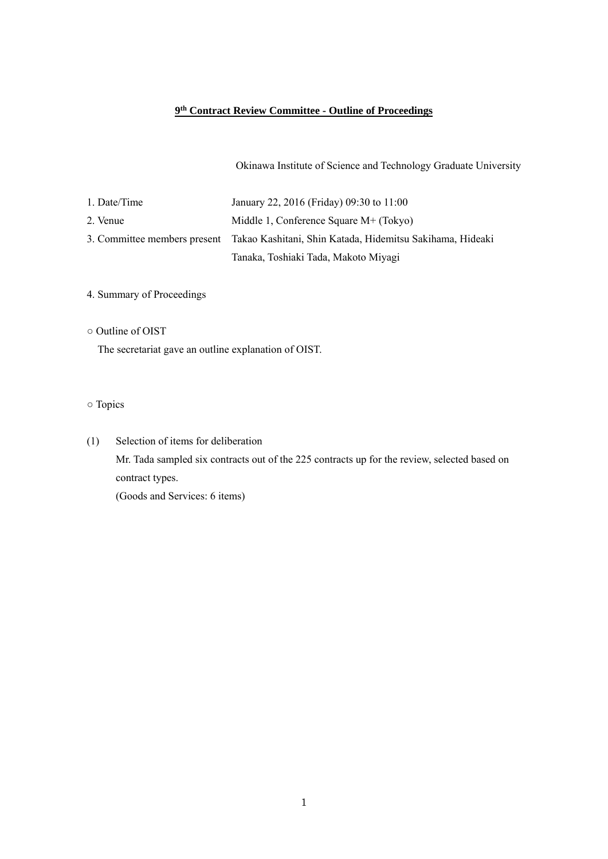## **9th Contract Review Committee - Outline of Proceedings**

Okinawa Institute of Science and Technology Graduate University

| 1. Date/Time | January 22, 2016 (Friday) 09:30 to 11:00                                               |
|--------------|----------------------------------------------------------------------------------------|
| 2. Venue     | Middle 1, Conference Square $M+$ (Tokyo)                                               |
|              | 3. Committee members present Takao Kashitani, Shin Katada, Hidemitsu Sakihama, Hideaki |
|              | Tanaka, Toshiaki Tada, Makoto Miyagi                                                   |

## 4. Summary of Proceedings

○ Outline of OIST

The secretariat gave an outline explanation of OIST.

## ○ Topics

(1) Selection of items for deliberation Mr. Tada sampled six contracts out of the 225 contracts up for the review, selected based on contract types.

(Goods and Services: 6 items)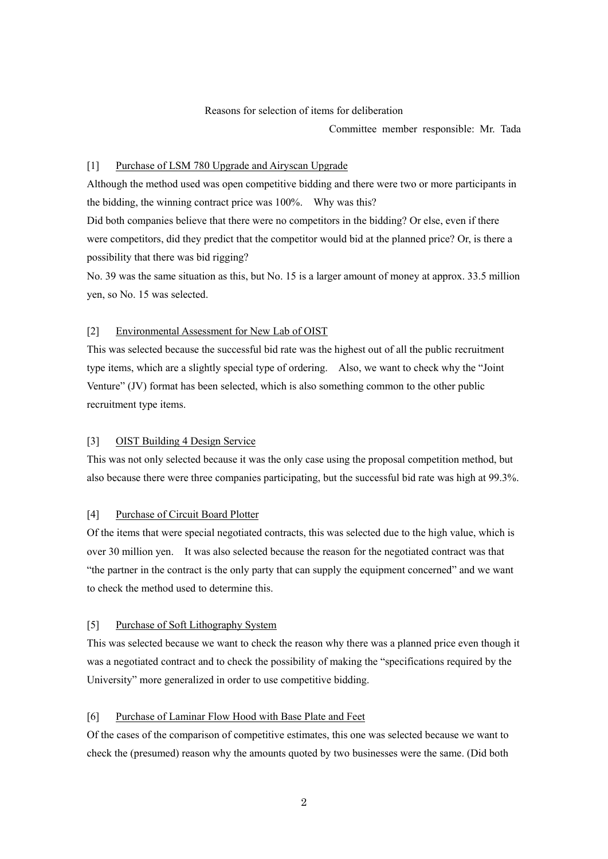### Reasons for selection of items for deliberation

Committee member responsible: Mr. Tada

#### [1] Purchase of LSM 780 Upgrade and Airyscan Upgrade

Although the method used was open competitive bidding and there were two or more participants in the bidding, the winning contract price was 100%. Why was this? Did both companies believe that there were no competitors in the bidding? Or else, even if there were competitors, did they predict that the competitor would bid at the planned price? Or, is there a

No. 39 was the same situation as this, but No. 15 is a larger amount of money at approx. 33.5 million yen, so No. 15 was selected.

#### [2] Environmental Assessment for New Lab of OIST

This was selected because the successful bid rate was the highest out of all the public recruitment type items, which are a slightly special type of ordering. Also, we want to check why the "Joint Venture" (JV) format has been selected, which is also something common to the other public recruitment type items.

### [3] OIST Building 4 Design Service

possibility that there was bid rigging?

This was not only selected because it was the only case using the proposal competition method, but also because there were three companies participating, but the successful bid rate was high at 99.3%.

## [4] Purchase of Circuit Board Plotter

Of the items that were special negotiated contracts, this was selected due to the high value, which is over 30 million yen. It was also selected because the reason for the negotiated contract was that "the partner in the contract is the only party that can supply the equipment concerned" and we want to check the method used to determine this.

### [5] Purchase of Soft Lithography System

This was selected because we want to check the reason why there was a planned price even though it was a negotiated contract and to check the possibility of making the "specifications required by the University" more generalized in order to use competitive bidding.

### [6] Purchase of Laminar Flow Hood with Base Plate and Feet

Of the cases of the comparison of competitive estimates, this one was selected because we want to check the (presumed) reason why the amounts quoted by two businesses were the same. (Did both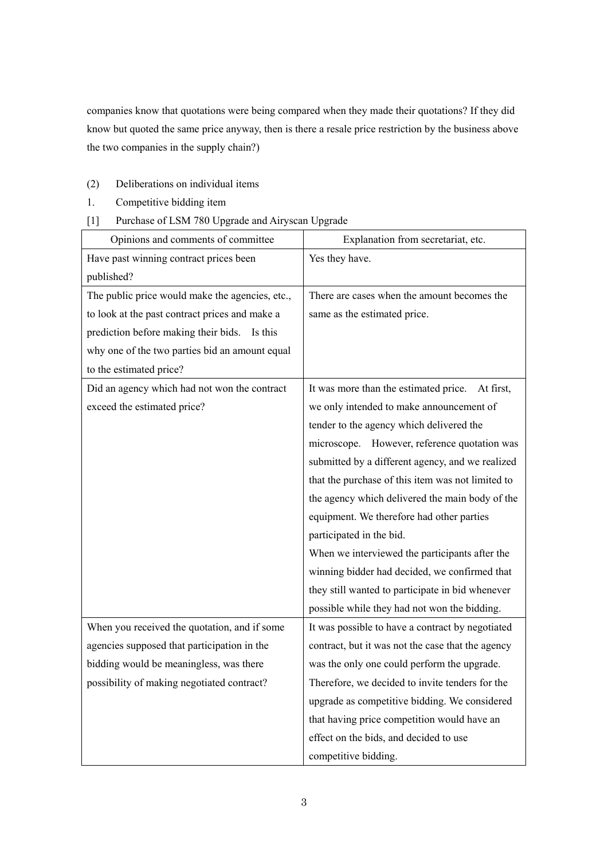companies know that quotations were being compared when they made their quotations? If they did know but quoted the same price anyway, then is there a resale price restriction by the business above the two companies in the supply chain?)

- (2) Deliberations on individual items
- 1. Competitive bidding item
- [1] Purchase of LSM 780 Upgrade and Airyscan Upgrade

| Opinions and comments of committee              | Explanation from secretariat, etc.                 |
|-------------------------------------------------|----------------------------------------------------|
| Have past winning contract prices been          | Yes they have.                                     |
| published?                                      |                                                    |
| The public price would make the agencies, etc., | There are cases when the amount becomes the        |
| to look at the past contract prices and make a  | same as the estimated price.                       |
| prediction before making their bids. Is this    |                                                    |
| why one of the two parties bid an amount equal  |                                                    |
| to the estimated price?                         |                                                    |
| Did an agency which had not won the contract    | It was more than the estimated price.<br>At first, |
| exceed the estimated price?                     | we only intended to make announcement of           |
|                                                 | tender to the agency which delivered the           |
|                                                 | microscope. However, reference quotation was       |
|                                                 | submitted by a different agency, and we realized   |
|                                                 | that the purchase of this item was not limited to  |
|                                                 | the agency which delivered the main body of the    |
|                                                 | equipment. We therefore had other parties          |
|                                                 | participated in the bid.                           |
|                                                 | When we interviewed the participants after the     |
|                                                 | winning bidder had decided, we confirmed that      |
|                                                 | they still wanted to participate in bid whenever   |
|                                                 | possible while they had not won the bidding.       |
| When you received the quotation, and if some    | It was possible to have a contract by negotiated   |
| agencies supposed that participation in the     | contract, but it was not the case that the agency  |
| bidding would be meaningless, was there         | was the only one could perform the upgrade.        |
| possibility of making negotiated contract?      | Therefore, we decided to invite tenders for the    |
|                                                 | upgrade as competitive bidding. We considered      |
|                                                 | that having price competition would have an        |
|                                                 | effect on the bids, and decided to use             |
|                                                 | competitive bidding.                               |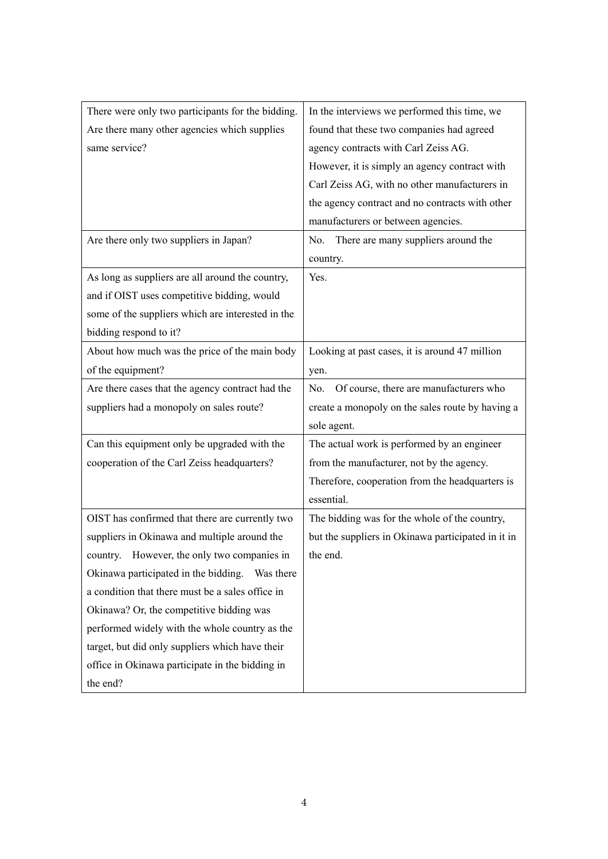| There were only two participants for the bidding. | In the interviews we performed this time, we       |
|---------------------------------------------------|----------------------------------------------------|
| Are there many other agencies which supplies      | found that these two companies had agreed          |
| same service?                                     | agency contracts with Carl Zeiss AG.               |
|                                                   | However, it is simply an agency contract with      |
|                                                   | Carl Zeiss AG, with no other manufacturers in      |
|                                                   | the agency contract and no contracts with other    |
|                                                   | manufacturers or between agencies.                 |
| Are there only two suppliers in Japan?            | There are many suppliers around the<br>No.         |
|                                                   | country.                                           |
| As long as suppliers are all around the country,  | Yes.                                               |
| and if OIST uses competitive bidding, would       |                                                    |
| some of the suppliers which are interested in the |                                                    |
| bidding respond to it?                            |                                                    |
| About how much was the price of the main body     | Looking at past cases, it is around 47 million     |
| of the equipment?                                 | yen.                                               |
| Are there cases that the agency contract had the  | Of course, there are manufacturers who<br>No.      |
| suppliers had a monopoly on sales route?          | create a monopoly on the sales route by having a   |
|                                                   | sole agent.                                        |
| Can this equipment only be upgraded with the      | The actual work is performed by an engineer        |
| cooperation of the Carl Zeiss headquarters?       | from the manufacturer, not by the agency.          |
|                                                   | Therefore, cooperation from the headquarters is    |
|                                                   | essential.                                         |
| OIST has confirmed that there are currently two   | The bidding was for the whole of the country,      |
| suppliers in Okinawa and multiple around the      | but the suppliers in Okinawa participated in it in |
| country. However, the only two companies in       | the end.                                           |
| Okinawa participated in the bidding.  Was there   |                                                    |
| a condition that there must be a sales office in  |                                                    |
| Okinawa? Or, the competitive bidding was          |                                                    |
| performed widely with the whole country as the    |                                                    |
| target, but did only suppliers which have their   |                                                    |
| office in Okinawa participate in the bidding in   |                                                    |
| the end?                                          |                                                    |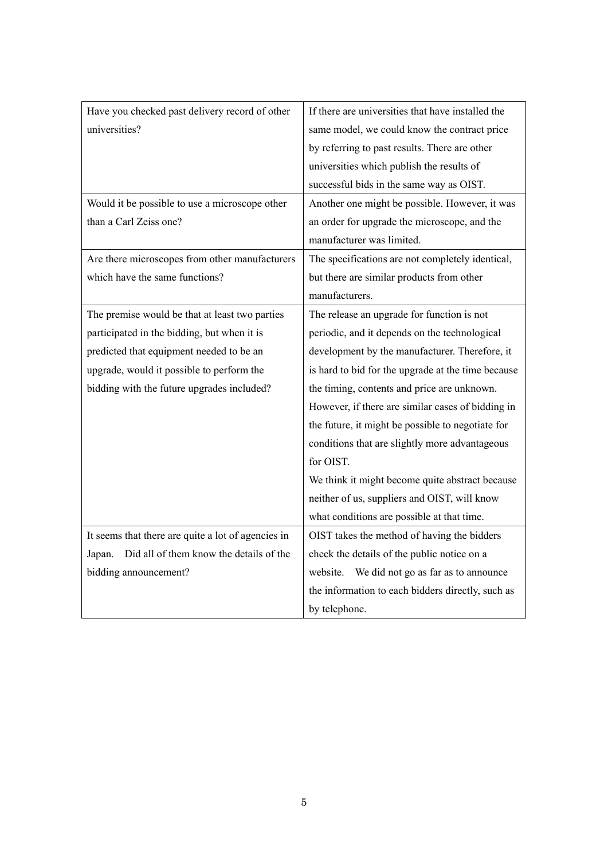| Have you checked past delivery record of other     | If there are universities that have installed the  |
|----------------------------------------------------|----------------------------------------------------|
| universities?                                      | same model, we could know the contract price       |
|                                                    | by referring to past results. There are other      |
|                                                    | universities which publish the results of          |
|                                                    | successful bids in the same way as OIST.           |
| Would it be possible to use a microscope other     | Another one might be possible. However, it was     |
| than a Carl Zeiss one?                             | an order for upgrade the microscope, and the       |
|                                                    | manufacturer was limited.                          |
| Are there microscopes from other manufacturers     | The specifications are not completely identical,   |
| which have the same functions?                     | but there are similar products from other          |
|                                                    | manufacturers.                                     |
| The premise would be that at least two parties     | The release an upgrade for function is not         |
| participated in the bidding, but when it is        | periodic, and it depends on the technological      |
| predicted that equipment needed to be an           | development by the manufacturer. Therefore, it     |
| upgrade, would it possible to perform the          | is hard to bid for the upgrade at the time because |
| bidding with the future upgrades included?         | the timing, contents and price are unknown.        |
|                                                    | However, if there are similar cases of bidding in  |
|                                                    | the future, it might be possible to negotiate for  |
|                                                    | conditions that are slightly more advantageous     |
|                                                    | for OIST.                                          |
|                                                    | We think it might become quite abstract because    |
|                                                    | neither of us, suppliers and OIST, will know       |
|                                                    | what conditions are possible at that time.         |
| It seems that there are quite a lot of agencies in | OIST takes the method of having the bidders        |
| Did all of them know the details of the<br>Japan.  | check the details of the public notice on a        |
| bidding announcement?                              | We did not go as far as to announce<br>website.    |
|                                                    | the information to each bidders directly, such as  |
|                                                    | by telephone.                                      |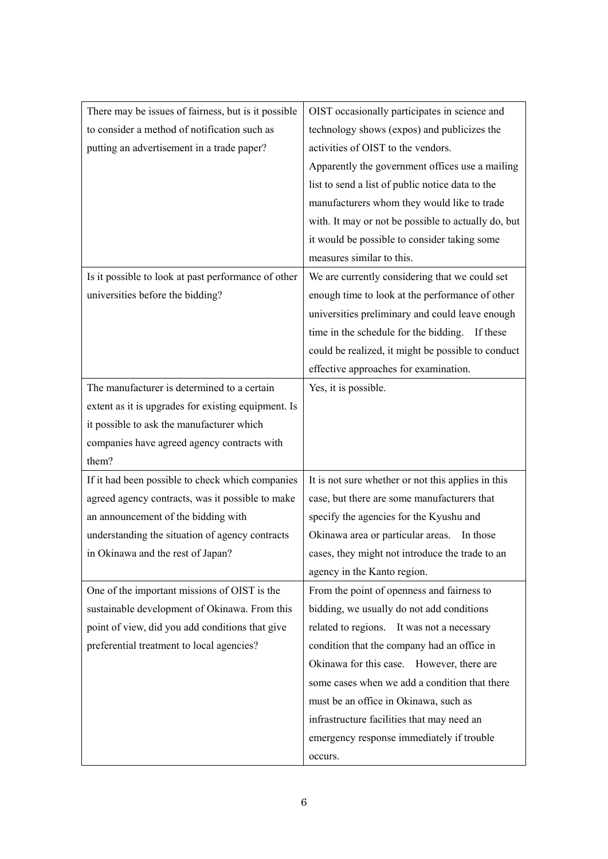| There may be issues of fairness, but is it possible | OIST occasionally participates in science and       |
|-----------------------------------------------------|-----------------------------------------------------|
| to consider a method of notification such as        | technology shows (expos) and publicizes the         |
| putting an advertisement in a trade paper?          | activities of OIST to the vendors.                  |
|                                                     | Apparently the government offices use a mailing     |
|                                                     | list to send a list of public notice data to the    |
|                                                     | manufacturers whom they would like to trade         |
|                                                     | with. It may or not be possible to actually do, but |
|                                                     | it would be possible to consider taking some        |
|                                                     | measures similar to this.                           |
| Is it possible to look at past performance of other | We are currently considering that we could set      |
| universities before the bidding?                    | enough time to look at the performance of other     |
|                                                     | universities preliminary and could leave enough     |
|                                                     | time in the schedule for the bidding. If these      |
|                                                     | could be realized, it might be possible to conduct  |
|                                                     | effective approaches for examination.               |
| The manufacturer is determined to a certain         | Yes, it is possible.                                |
| extent as it is upgrades for existing equipment. Is |                                                     |
| it possible to ask the manufacturer which           |                                                     |
| companies have agreed agency contracts with         |                                                     |
| them?                                               |                                                     |
| If it had been possible to check which companies    | It is not sure whether or not this applies in this  |
| agreed agency contracts, was it possible to make    | case, but there are some manufacturers that         |
| an announcement of the bidding with                 | specify the agencies for the Kyushu and             |
| understanding the situation of agency contracts     | Okinawa area or particular areas. In those          |
| in Okinawa and the rest of Japan?                   | cases, they might not introduce the trade to an     |
|                                                     | agency in the Kanto region.                         |
| One of the important missions of OIST is the        | From the point of openness and fairness to          |
| sustainable development of Okinawa. From this       | bidding, we usually do not add conditions           |
| point of view, did you add conditions that give     | related to regions. It was not a necessary          |
| preferential treatment to local agencies?           | condition that the company had an office in         |
|                                                     | Okinawa for this case. However, there are           |
|                                                     | some cases when we add a condition that there       |
|                                                     | must be an office in Okinawa, such as               |
|                                                     | infrastructure facilities that may need an          |
|                                                     | emergency response immediately if trouble           |
|                                                     | occurs.                                             |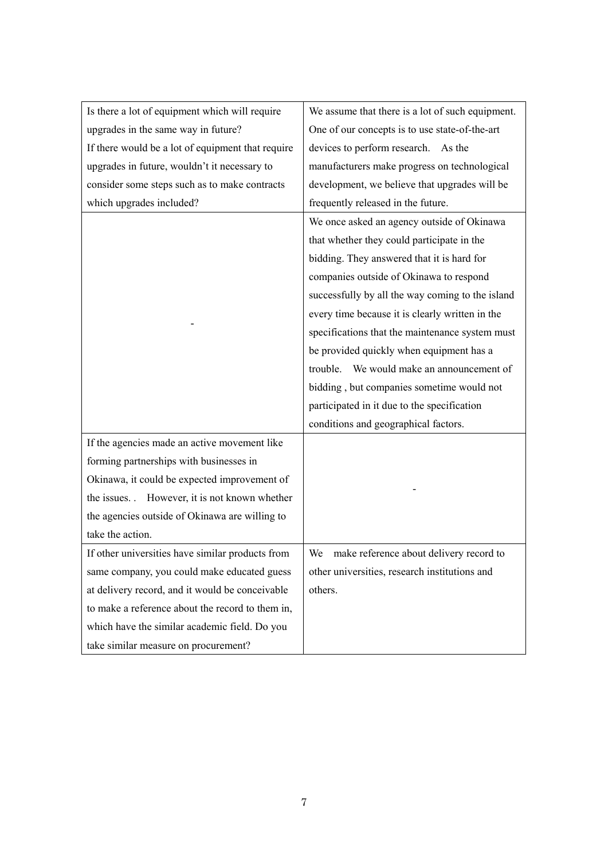| Is there a lot of equipment which will require    | We assume that there is a lot of such equipment. |
|---------------------------------------------------|--------------------------------------------------|
| upgrades in the same way in future?               | One of our concepts is to use state-of-the-art   |
| If there would be a lot of equipment that require | devices to perform research.<br>As the           |
| upgrades in future, wouldn't it necessary to      | manufacturers make progress on technological     |
| consider some steps such as to make contracts     | development, we believe that upgrades will be    |
| which upgrades included?                          | frequently released in the future.               |
|                                                   | We once asked an agency outside of Okinawa       |
|                                                   | that whether they could participate in the       |
|                                                   | bidding. They answered that it is hard for       |
|                                                   | companies outside of Okinawa to respond          |
|                                                   | successfully by all the way coming to the island |
|                                                   | every time because it is clearly written in the  |
|                                                   | specifications that the maintenance system must  |
|                                                   | be provided quickly when equipment has a         |
|                                                   | trouble. We would make an announcement of        |
|                                                   | bidding, but companies sometime would not        |
|                                                   | participated in it due to the specification      |
|                                                   | conditions and geographical factors.             |
| If the agencies made an active movement like      |                                                  |
| forming partnerships with businesses in           |                                                  |
| Okinawa, it could be expected improvement of      |                                                  |
| the issues. However, it is not known whether      |                                                  |
| the agencies outside of Okinawa are willing to    |                                                  |
| take the action.                                  |                                                  |
| If other universities have similar products from  | make reference about delivery record to<br>We    |
| same company, you could make educated guess       | other universities, research institutions and    |
| at delivery record, and it would be conceivable   | others.                                          |
| to make a reference about the record to them in,  |                                                  |
| which have the similar academic field. Do you     |                                                  |
| take similar measure on procurement?              |                                                  |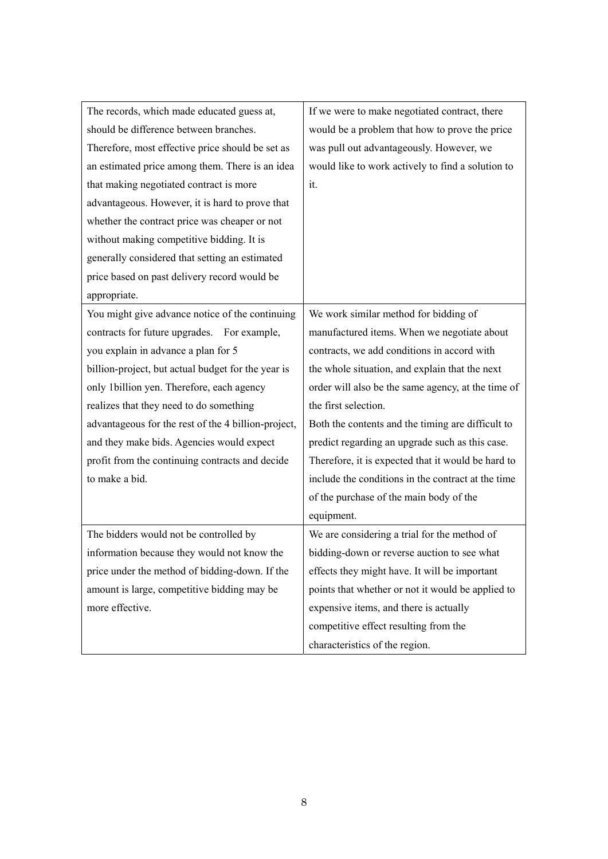| The records, which made educated guess at,          | If we were to make negotiated contract, there      |
|-----------------------------------------------------|----------------------------------------------------|
| should be difference between branches.              | would be a problem that how to prove the price     |
| Therefore, most effective price should be set as    | was pull out advantageously. However, we           |
| an estimated price among them. There is an idea     | would like to work actively to find a solution to  |
| that making negotiated contract is more             | it.                                                |
| advantageous. However, it is hard to prove that     |                                                    |
| whether the contract price was cheaper or not       |                                                    |
| without making competitive bidding. It is           |                                                    |
| generally considered that setting an estimated      |                                                    |
| price based on past delivery record would be        |                                                    |
| appropriate.                                        |                                                    |
| You might give advance notice of the continuing     | We work similar method for bidding of              |
| contracts for future upgrades. For example,         | manufactured items. When we negotiate about        |
| you explain in advance a plan for 5                 | contracts, we add conditions in accord with        |
| billion-project, but actual budget for the year is  | the whole situation, and explain that the next     |
| only 1billion yen. Therefore, each agency           | order will also be the same agency, at the time of |
| realizes that they need to do something             | the first selection.                               |
| advantageous for the rest of the 4 billion-project, | Both the contents and the timing are difficult to  |
| and they make bids. Agencies would expect           | predict regarding an upgrade such as this case.    |
| profit from the continuing contracts and decide     | Therefore, it is expected that it would be hard to |
| to make a bid.                                      | include the conditions in the contract at the time |
|                                                     | of the purchase of the main body of the            |
|                                                     | equipment.                                         |
| The bidders would not be controlled by              | We are considering a trial for the method of       |
| information because they would not know the         | bidding-down or reverse auction to see what        |
| price under the method of bidding-down. If the      | effects they might have. It will be important      |
| amount is large, competitive bidding may be         | points that whether or not it would be applied to  |
| more effective.                                     | expensive items, and there is actually             |
|                                                     | competitive effect resulting from the              |
|                                                     | characteristics of the region.                     |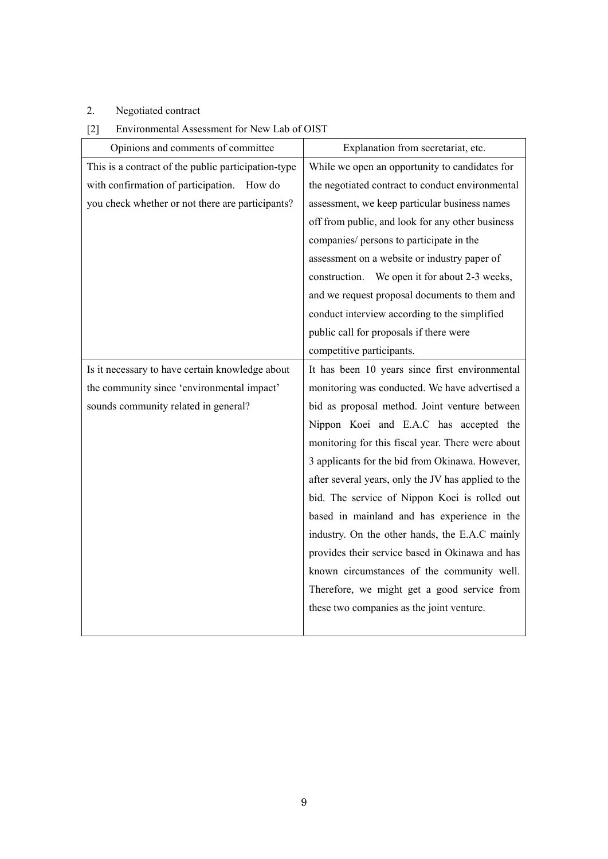# 2. Negotiated contract

| [2] | Environmental Assessment for New Lab of OIST |  |
|-----|----------------------------------------------|--|
|     |                                              |  |

| Opinions and comments of committee                  | Explanation from secretariat, etc.                  |
|-----------------------------------------------------|-----------------------------------------------------|
| This is a contract of the public participation-type | While we open an opportunity to candidates for      |
| with confirmation of participation. How do          | the negotiated contract to conduct environmental    |
| you check whether or not there are participants?    | assessment, we keep particular business names       |
|                                                     | off from public, and look for any other business    |
|                                                     | companies/ persons to participate in the            |
|                                                     | assessment on a website or industry paper of        |
|                                                     | construction. We open it for about 2-3 weeks,       |
|                                                     | and we request proposal documents to them and       |
|                                                     | conduct interview according to the simplified       |
|                                                     | public call for proposals if there were             |
|                                                     | competitive participants.                           |
| Is it necessary to have certain knowledge about     | It has been 10 years since first environmental      |
| the community since 'environmental impact'          | monitoring was conducted. We have advertised a      |
| sounds community related in general?                | bid as proposal method. Joint venture between       |
|                                                     | Nippon Koei and E.A.C has accepted the              |
|                                                     | monitoring for this fiscal year. There were about   |
|                                                     | 3 applicants for the bid from Okinawa. However,     |
|                                                     | after several years, only the JV has applied to the |
|                                                     | bid. The service of Nippon Koei is rolled out       |
|                                                     | based in mainland and has experience in the         |
|                                                     | industry. On the other hands, the E.A.C mainly      |
|                                                     | provides their service based in Okinawa and has     |
|                                                     | known circumstances of the community well.          |
|                                                     | Therefore, we might get a good service from         |
|                                                     | these two companies as the joint venture.           |
|                                                     |                                                     |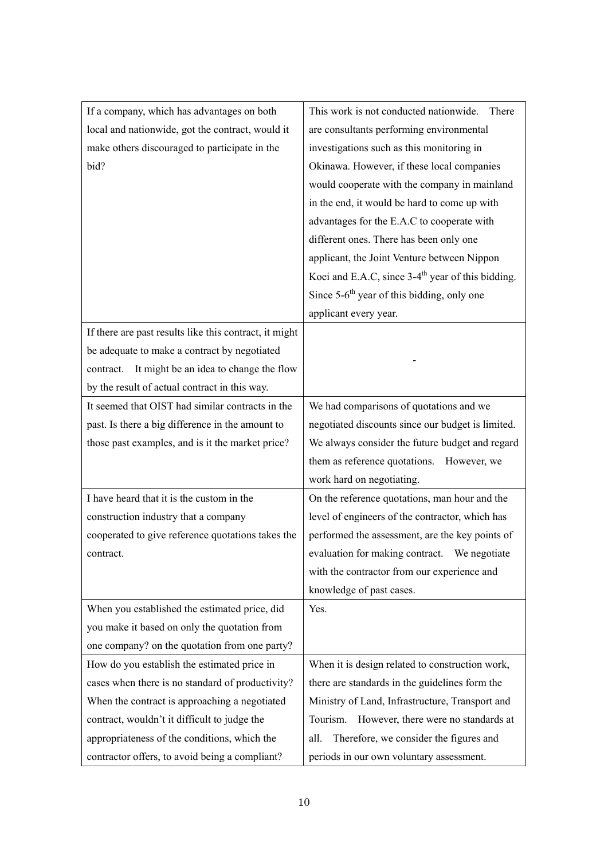| If a company, which has advantages on both             | This work is not conducted nationwide.<br>There               |
|--------------------------------------------------------|---------------------------------------------------------------|
| local and nationwide, got the contract, would it       | are consultants performing environmental                      |
| make others discouraged to participate in the          | investigations such as this monitoring in                     |
| bid?                                                   | Okinawa. However, if these local companies                    |
|                                                        | would cooperate with the company in mainland                  |
|                                                        | in the end, it would be hard to come up with                  |
|                                                        | advantages for the E.A.C to cooperate with                    |
|                                                        | different ones. There has been only one                       |
|                                                        | applicant, the Joint Venture between Nippon                   |
|                                                        | Koei and E.A.C, since 3-4 <sup>th</sup> year of this bidding. |
|                                                        | Since $5-6$ <sup>th</sup> year of this bidding, only one      |
|                                                        | applicant every year.                                         |
| If there are past results like this contract, it might |                                                               |
| be adequate to make a contract by negotiated           |                                                               |
| It might be an idea to change the flow<br>contract.    |                                                               |
| by the result of actual contract in this way.          |                                                               |
| It seemed that OIST had similar contracts in the       | We had comparisons of quotations and we                       |
| past. Is there a big difference in the amount to       | negotiated discounts since our budget is limited.             |
| those past examples, and is it the market price?       | We always consider the future budget and regard               |
|                                                        | them as reference quotations.<br>However, we                  |
|                                                        | work hard on negotiating.                                     |
| I have heard that it is the custom in the              | On the reference quotations, man hour and the                 |
| construction industry that a company                   | level of engineers of the contractor, which has               |
| cooperated to give reference quotations takes the      | performed the assessment, are the key points of               |
| contract.                                              | evaluation for making contract.<br>We negotiate               |
|                                                        | with the contractor from our experience and                   |
|                                                        | knowledge of past cases.                                      |
| When you established the estimated price, did          | Yes.                                                          |
| you make it based on only the quotation from           |                                                               |
| one company? on the quotation from one party?          |                                                               |
| How do you establish the estimated price in            | When it is design related to construction work,               |
| cases when there is no standard of productivity?       | there are standards in the guidelines form the                |
| When the contract is approaching a negotiated          | Ministry of Land, Infrastructure, Transport and               |
| contract, wouldn't it difficult to judge the           | However, there were no standards at<br>Tourism.               |
| appropriateness of the conditions, which the           | Therefore, we consider the figures and<br>all.                |
| contractor offers, to avoid being a compliant?         | periods in our own voluntary assessment.                      |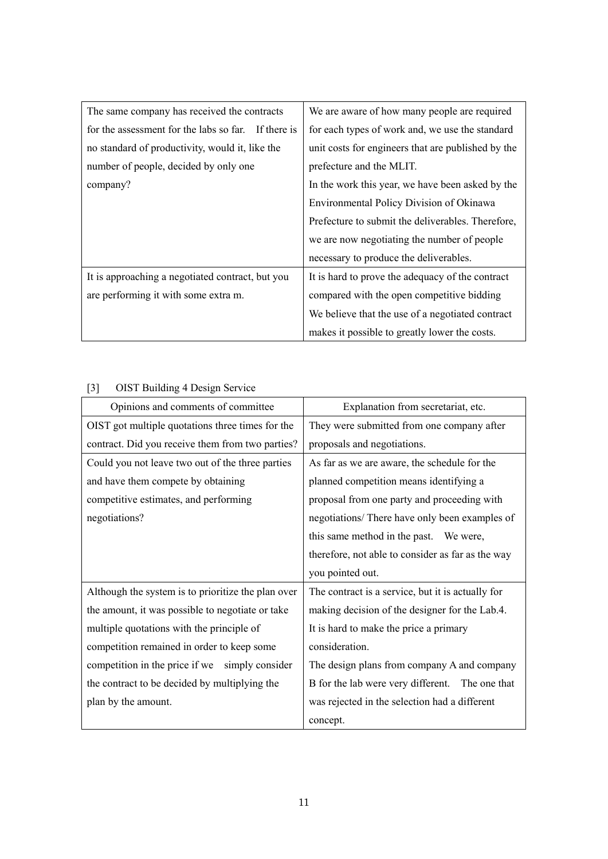| The same company has received the contracts         | We are aware of how many people are required       |
|-----------------------------------------------------|----------------------------------------------------|
| for the assessment for the labs so far. If there is | for each types of work and, we use the standard    |
| no standard of productivity, would it, like the     | unit costs for engineers that are published by the |
| number of people, decided by only one               | prefecture and the MLIT.                           |
| company?                                            | In the work this year, we have been asked by the   |
|                                                     | Environmental Policy Division of Okinawa           |
|                                                     | Prefecture to submit the deliverables. Therefore,  |
|                                                     | we are now negotiating the number of people        |
|                                                     | necessary to produce the deliverables.             |
| It is approaching a negotiated contract, but you    | It is hard to prove the adequacy of the contract   |
| are performing it with some extra m.                | compared with the open competitive bidding         |
|                                                     | We believe that the use of a negotiated contract   |
|                                                     | makes it possible to greatly lower the costs.      |

| Opinions and comments of committee                 | Explanation from secretariat, etc.                |
|----------------------------------------------------|---------------------------------------------------|
| OIST got multiple quotations three times for the   | They were submitted from one company after        |
| contract. Did you receive them from two parties?   | proposals and negotiations.                       |
| Could you not leave two out of the three parties   | As far as we are aware, the schedule for the      |
| and have them compete by obtaining                 | planned competition means identifying a           |
| competitive estimates, and performing              | proposal from one party and proceeding with       |
| negotiations?                                      | negotiations/ There have only been examples of    |
|                                                    | this same method in the past. We were,            |
|                                                    | therefore, not able to consider as far as the way |
|                                                    | you pointed out.                                  |
| Although the system is to prioritize the plan over | The contract is a service, but it is actually for |
| the amount, it was possible to negotiate or take   | making decision of the designer for the Lab.4.    |
| multiple quotations with the principle of          | It is hard to make the price a primary            |
| competition remained in order to keep some         | consideration.                                    |
| competition in the price if we simply consider     | The design plans from company A and company       |
| the contract to be decided by multiplying the      | B for the lab were very different. The one that   |
| plan by the amount.                                | was rejected in the selection had a different     |
|                                                    | concept.                                          |

# [3] OIST Building 4 Design Service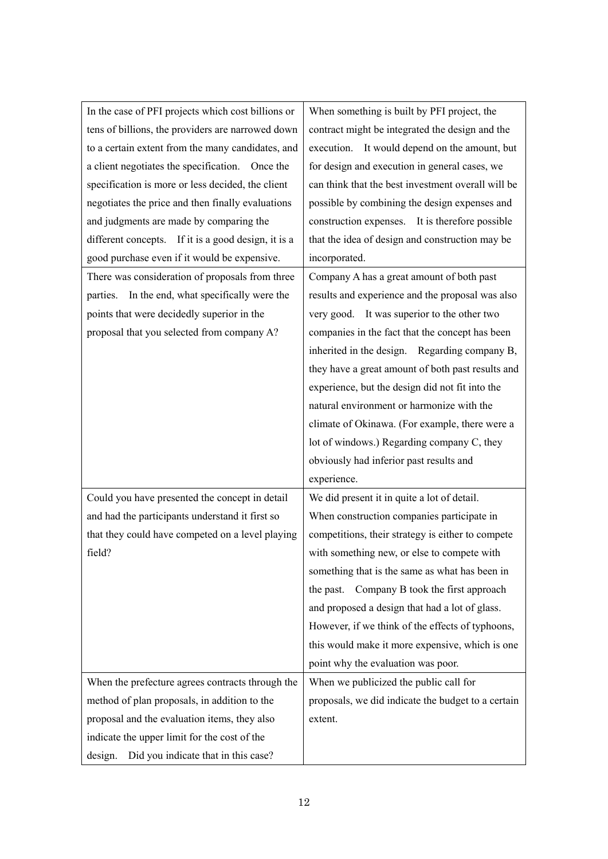| In the case of PFI projects which cost billions or  | When something is built by PFI project, the        |
|-----------------------------------------------------|----------------------------------------------------|
| tens of billions, the providers are narrowed down   | contract might be integrated the design and the    |
| to a certain extent from the many candidates, and   | execution. It would depend on the amount, but      |
| a client negotiates the specification. Once the     | for design and execution in general cases, we      |
| specification is more or less decided, the client   | can think that the best investment overall will be |
| negotiates the price and then finally evaluations   | possible by combining the design expenses and      |
| and judgments are made by comparing the             | construction expenses. It is therefore possible    |
| different concepts. If it is a good design, it is a | that the idea of design and construction may be    |
| good purchase even if it would be expensive.        | incorporated.                                      |
| There was consideration of proposals from three     | Company A has a great amount of both past          |
| In the end, what specifically were the<br>parties.  | results and experience and the proposal was also   |
| points that were decidedly superior in the          | very good. It was superior to the other two        |
| proposal that you selected from company A?          | companies in the fact that the concept has been    |
|                                                     | inherited in the design. Regarding company B,      |
|                                                     | they have a great amount of both past results and  |
|                                                     | experience, but the design did not fit into the    |
|                                                     | natural environment or harmonize with the          |
|                                                     | climate of Okinawa. (For example, there were a     |
|                                                     | lot of windows.) Regarding company C, they         |
|                                                     | obviously had inferior past results and            |
|                                                     | experience.                                        |
| Could you have presented the concept in detail      | We did present it in quite a lot of detail.        |
| and had the participants understand it first so     | When construction companies participate in         |
| that they could have competed on a level playing    | competitions, their strategy is either to compete  |
| field?                                              | with something new, or else to compete with        |
|                                                     | something that is the same as what has been in     |
|                                                     | Company B took the first approach<br>the past.     |
|                                                     | and proposed a design that had a lot of glass.     |
|                                                     | However, if we think of the effects of typhoons,   |
|                                                     | this would make it more expensive, which is one    |
|                                                     | point why the evaluation was poor.                 |
| When the prefecture agrees contracts through the    | When we publicized the public call for             |
| method of plan proposals, in addition to the        | proposals, we did indicate the budget to a certain |
| proposal and the evaluation items, they also        | extent.                                            |
| indicate the upper limit for the cost of the        |                                                    |
| Did you indicate that in this case?<br>design.      |                                                    |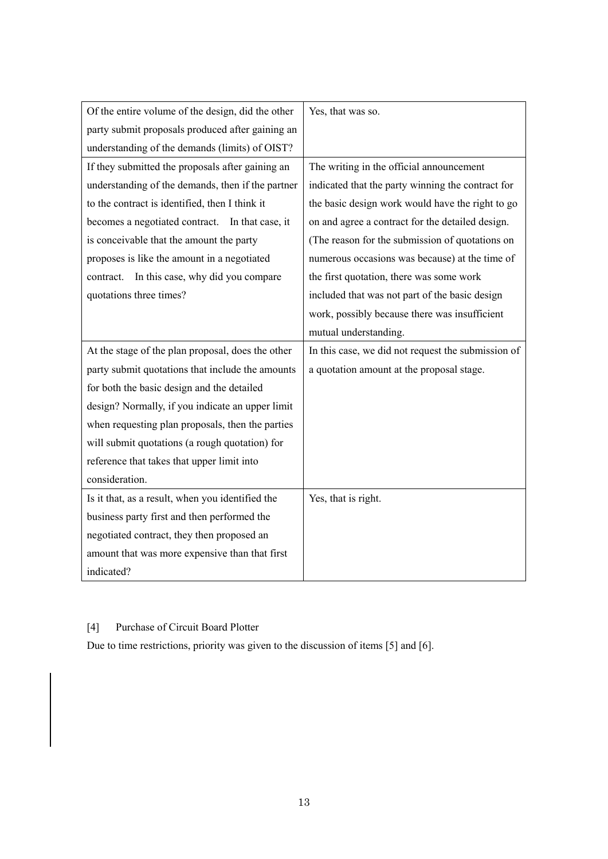| Of the entire volume of the design, did the other | Yes, that was so.                                  |
|---------------------------------------------------|----------------------------------------------------|
| party submit proposals produced after gaining an  |                                                    |
| understanding of the demands (limits) of OIST?    |                                                    |
| If they submitted the proposals after gaining an  | The writing in the official announcement           |
| understanding of the demands, then if the partner | indicated that the party winning the contract for  |
| to the contract is identified, then I think it    | the basic design work would have the right to go   |
| becomes a negotiated contract. In that case, it   | on and agree a contract for the detailed design.   |
| is conceivable that the amount the party          | (The reason for the submission of quotations on    |
| proposes is like the amount in a negotiated       | numerous occasions was because) at the time of     |
| In this case, why did you compare<br>contract.    | the first quotation, there was some work           |
| quotations three times?                           | included that was not part of the basic design     |
|                                                   | work, possibly because there was insufficient      |
|                                                   | mutual understanding.                              |
| At the stage of the plan proposal, does the other |                                                    |
|                                                   | In this case, we did not request the submission of |
| party submit quotations that include the amounts  | a quotation amount at the proposal stage.          |
| for both the basic design and the detailed        |                                                    |
| design? Normally, if you indicate an upper limit  |                                                    |
| when requesting plan proposals, then the parties  |                                                    |
| will submit quotations (a rough quotation) for    |                                                    |
| reference that takes that upper limit into        |                                                    |
| consideration.                                    |                                                    |
| Is it that, as a result, when you identified the  | Yes, that is right.                                |
| business party first and then performed the       |                                                    |
| negotiated contract, they then proposed an        |                                                    |
| amount that was more expensive than that first    |                                                    |

# [4] Purchase of Circuit Board Plotter

Due to time restrictions, priority was given to the discussion of items [5] and [6].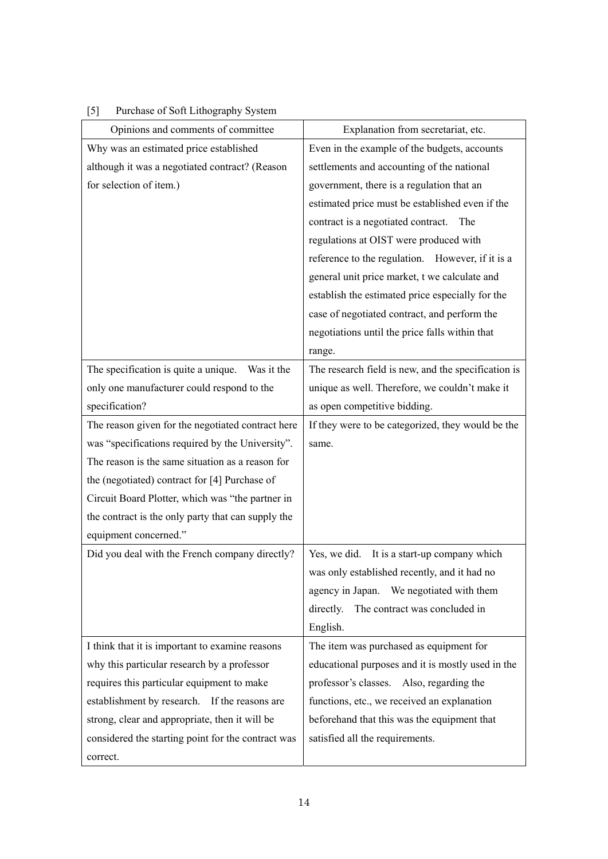| $[5]$ | Purchase of Soft Lithography System |  |  |
|-------|-------------------------------------|--|--|
|       |                                     |  |  |

| Opinions and comments of committee                 | Explanation from secretariat, etc.                  |
|----------------------------------------------------|-----------------------------------------------------|
| Why was an estimated price established             | Even in the example of the budgets, accounts        |
| although it was a negotiated contract? (Reason     | settlements and accounting of the national          |
| for selection of item.)                            | government, there is a regulation that an           |
|                                                    | estimated price must be established even if the     |
|                                                    | contract is a negotiated contract. The              |
|                                                    | regulations at OIST were produced with              |
|                                                    | reference to the regulation. However, if it is a    |
|                                                    | general unit price market, t we calculate and       |
|                                                    | establish the estimated price especially for the    |
|                                                    | case of negotiated contract, and perform the        |
|                                                    | negotiations until the price falls within that      |
|                                                    | range.                                              |
| The specification is quite a unique.<br>Was it the | The research field is new, and the specification is |
| only one manufacturer could respond to the         | unique as well. Therefore, we couldn't make it      |
| specification?                                     | as open competitive bidding.                        |
| The reason given for the negotiated contract here  | If they were to be categorized, they would be the   |
| was "specifications required by the University".   | same.                                               |
| The reason is the same situation as a reason for   |                                                     |
| the (negotiated) contract for [4] Purchase of      |                                                     |
| Circuit Board Plotter, which was "the partner in   |                                                     |
| the contract is the only party that can supply the |                                                     |
| equipment concerned."                              |                                                     |
| Did you deal with the French company directly?     | Yes, we did.<br>It is a start-up company which      |
|                                                    | was only established recently, and it had no        |
|                                                    | agency in Japan. We negotiated with them            |
|                                                    | The contract was concluded in<br>directly.          |
|                                                    | English.                                            |
| I think that it is important to examine reasons    | The item was purchased as equipment for             |
| why this particular research by a professor        | educational purposes and it is mostly used in the   |
| requires this particular equipment to make         | professor's classes. Also, regarding the            |
| establishment by research. If the reasons are      | functions, etc., we received an explanation         |
| strong, clear and appropriate, then it will be     | beforehand that this was the equipment that         |
| considered the starting point for the contract was | satisfied all the requirements.                     |
| correct.                                           |                                                     |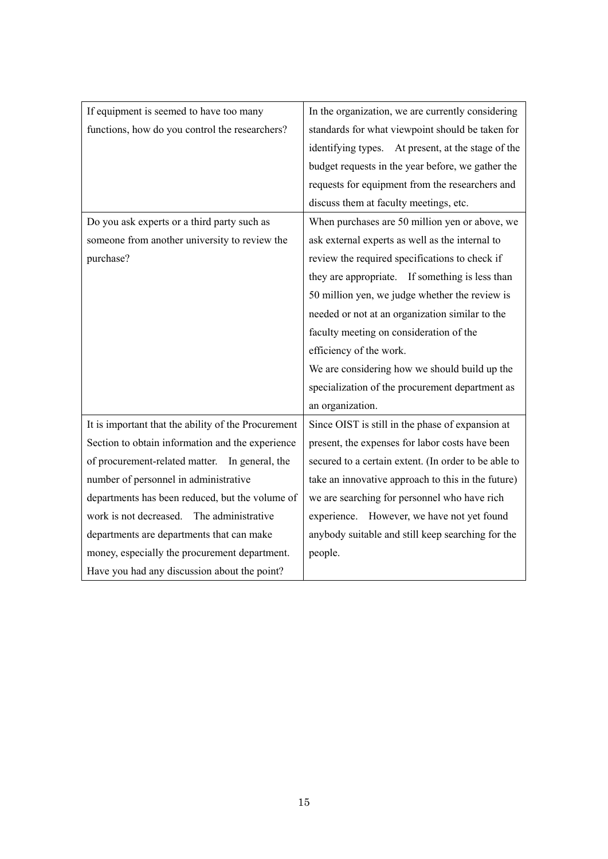| If equipment is seemed to have too many             | In the organization, we are currently considering    |
|-----------------------------------------------------|------------------------------------------------------|
| functions, how do you control the researchers?      | standards for what viewpoint should be taken for     |
|                                                     | identifying types. At present, at the stage of the   |
|                                                     | budget requests in the year before, we gather the    |
|                                                     | requests for equipment from the researchers and      |
|                                                     | discuss them at faculty meetings, etc.               |
| Do you ask experts or a third party such as         | When purchases are 50 million yen or above, we       |
| someone from another university to review the       | ask external experts as well as the internal to      |
| purchase?                                           | review the required specifications to check if       |
|                                                     | they are appropriate. If something is less than      |
|                                                     | 50 million yen, we judge whether the review is       |
|                                                     | needed or not at an organization similar to the      |
|                                                     | faculty meeting on consideration of the              |
|                                                     | efficiency of the work.                              |
|                                                     | We are considering how we should build up the        |
|                                                     | specialization of the procurement department as      |
|                                                     | an organization.                                     |
| It is important that the ability of the Procurement | Since OIST is still in the phase of expansion at     |
| Section to obtain information and the experience    | present, the expenses for labor costs have been      |
| of procurement-related matter. In general, the      | secured to a certain extent. (In order to be able to |
| number of personnel in administrative               | take an innovative approach to this in the future)   |
| departments has been reduced, but the volume of     | we are searching for personnel who have rich         |
| work is not decreased. The administrative           | experience. However, we have not yet found           |
| departments are departments that can make           | anybody suitable and still keep searching for the    |
| money, especially the procurement department.       | people.                                              |
| Have you had any discussion about the point?        |                                                      |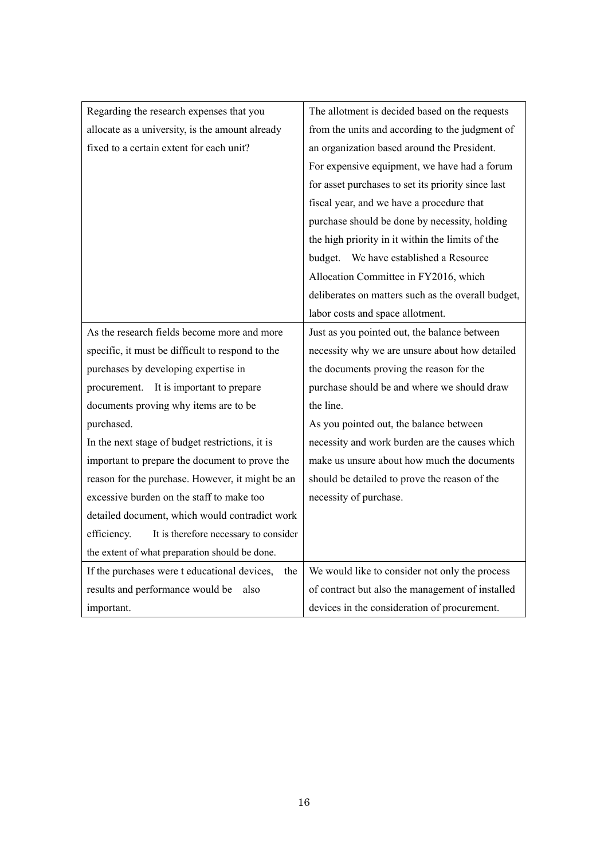| Regarding the research expenses that you             | The allotment is decided based on the requests     |
|------------------------------------------------------|----------------------------------------------------|
| allocate as a university, is the amount already      | from the units and according to the judgment of    |
| fixed to a certain extent for each unit?             | an organization based around the President.        |
|                                                      | For expensive equipment, we have had a forum       |
|                                                      | for asset purchases to set its priority since last |
|                                                      | fiscal year, and we have a procedure that          |
|                                                      | purchase should be done by necessity, holding      |
|                                                      | the high priority in it within the limits of the   |
|                                                      | budget. We have established a Resource             |
|                                                      | Allocation Committee in FY2016, which              |
|                                                      | deliberates on matters such as the overall budget, |
|                                                      | labor costs and space allotment.                   |
| As the research fields become more and more          | Just as you pointed out, the balance between       |
| specific, it must be difficult to respond to the     | necessity why we are unsure about how detailed     |
| purchases by developing expertise in                 | the documents proving the reason for the           |
| procurement. It is important to prepare              | purchase should be and where we should draw        |
| documents proving why items are to be                | the line.                                          |
| purchased.                                           | As you pointed out, the balance between            |
| In the next stage of budget restrictions, it is      | necessity and work burden are the causes which     |
| important to prepare the document to prove the       | make us unsure about how much the documents        |
| reason for the purchase. However, it might be an     | should be detailed to prove the reason of the      |
| excessive burden on the staff to make too            | necessity of purchase.                             |
| detailed document, which would contradict work       |                                                    |
| It is therefore necessary to consider<br>efficiency. |                                                    |
| the extent of what preparation should be done.       |                                                    |
| If the purchases were t educational devices,<br>the  | We would like to consider not only the process     |
| results and performance would be<br>also             | of contract but also the management of installed   |
| important.                                           | devices in the consideration of procurement.       |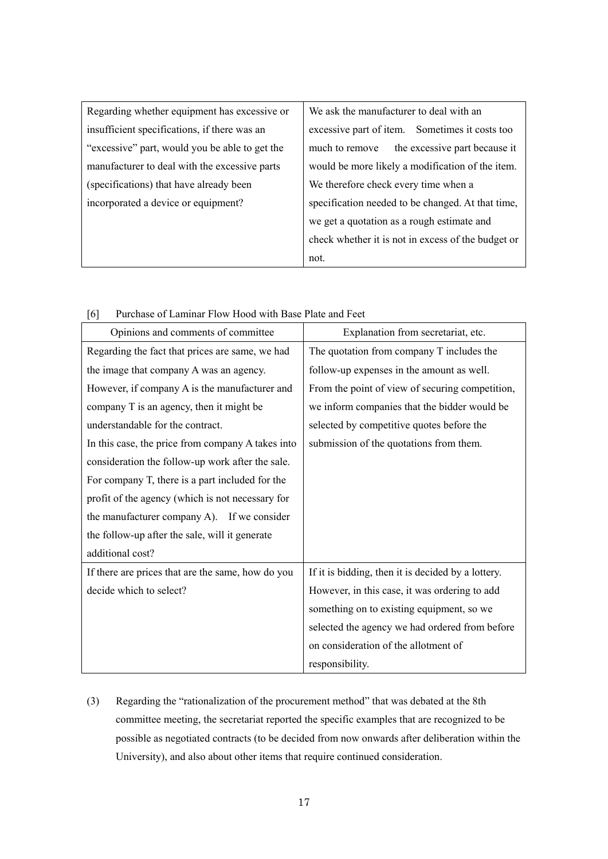| Regarding whether equipment has excessive or   | We ask the manufacturer to deal with an            |
|------------------------------------------------|----------------------------------------------------|
| insufficient specifications, if there was an   | excessive part of item.<br>Sometimes it costs too  |
| "excessive" part, would you be able to get the | the excessive part because it<br>much to remove    |
| manufacturer to deal with the excessive parts  | would be more likely a modification of the item.   |
| (specifications) that have already been        | We therefore check every time when a               |
| incorporated a device or equipment?            | specification needed to be changed. At that time,  |
|                                                | we get a quotation as a rough estimate and         |
|                                                | check whether it is not in excess of the budget or |
|                                                | not.                                               |

| [6] |  | Purchase of Laminar Flow Hood with Base Plate and Feet |  |  |  |  |  |  |  |
|-----|--|--------------------------------------------------------|--|--|--|--|--|--|--|
|-----|--|--------------------------------------------------------|--|--|--|--|--|--|--|

| Opinions and comments of committee                | Explanation from secretariat, etc.                 |
|---------------------------------------------------|----------------------------------------------------|
| Regarding the fact that prices are same, we had   | The quotation from company T includes the          |
| the image that company A was an agency.           | follow-up expenses in the amount as well.          |
| However, if company A is the manufacturer and     | From the point of view of securing competition,    |
| company T is an agency, then it might be          | we inform companies that the bidder would be       |
| understandable for the contract.                  | selected by competitive quotes before the          |
| In this case, the price from company A takes into | submission of the quotations from them.            |
| consideration the follow-up work after the sale.  |                                                    |
| For company T, there is a part included for the   |                                                    |
| profit of the agency (which is not necessary for  |                                                    |
| the manufacturer company A). If we consider       |                                                    |
| the follow-up after the sale, will it generate    |                                                    |
| additional cost?                                  |                                                    |
| If there are prices that are the same, how do you | If it is bidding, then it is decided by a lottery. |
| decide which to select?                           | However, in this case, it was ordering to add      |
|                                                   | something on to existing equipment, so we          |
|                                                   | selected the agency we had ordered from before     |
|                                                   | on consideration of the allotment of               |
|                                                   | responsibility.                                    |

(3) Regarding the "rationalization of the procurement method" that was debated at the 8th committee meeting, the secretariat reported the specific examples that are recognized to be possible as negotiated contracts (to be decided from now onwards after deliberation within the University), and also about other items that require continued consideration.